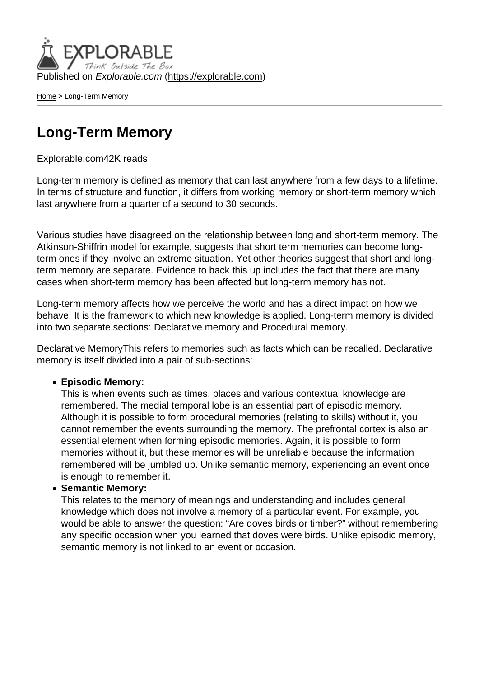Published on Explorable.com (<https://explorable.com>)

[Home](https://explorable.com/) > Long-Term Memory

## Long-Term Memory

## Explorable.com42K reads

Long-term memory is defined as memory that can last anywhere from a few days to a lifetime. In terms of structure and function, it differs from working memory or short-term memory which last anywhere from a quarter of a second to 30 seconds.

Various studies have disagreed on the relationship between long and short-term memory. The Atkinson-Shiffrin model for example, suggests that short term memories can become longterm ones if they involve an extreme situation. Yet other theories suggest that short and longterm memory are separate. Evidence to back this up includes the fact that there are many cases when short-term memory has been affected but long-term memory has not.

Long-term memory affects how we perceive the world and has a direct impact on how we behave. It is the framework to which new knowledge is applied. Long-term memory is divided into two separate sections: Declarative memory and Procedural memory.

Declarative MemoryThis refers to memories such as facts which can be recalled. Declarative memory is itself divided into a pair of sub-sections:

Episodic Memory:

This is when events such as times, places and various contextual knowledge are remembered. The medial temporal lobe is an essential part of episodic memory. Although it is possible to form procedural memories (relating to skills) without it, you cannot remember the events surrounding the memory. The prefrontal cortex is also an essential element when forming episodic memories. Again, it is possible to form memories without it, but these memories will be unreliable because the information remembered will be jumbled up. Unlike semantic memory, experiencing an event once is enough to remember it.

• Semantic Memory:

This relates to the memory of meanings and understanding and includes general knowledge which does not involve a memory of a particular event. For example, you would be able to answer the question: "Are doves birds or timber?" without remembering any specific occasion when you learned that doves were birds. Unlike episodic memory, semantic memory is not linked to an event or occasion.